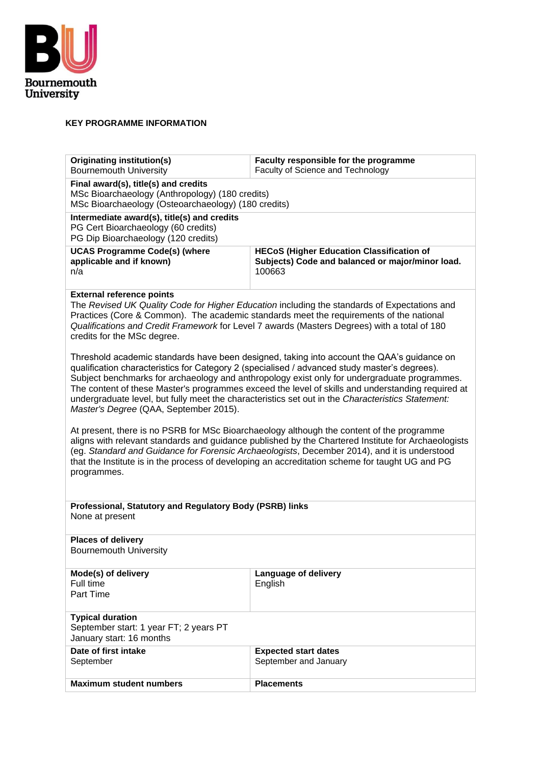

### **KEY PROGRAMME INFORMATION**

| <b>Originating institution(s)</b><br><b>Bournemouth University</b>                                                                                                                                                                                                                                                                                                                                                                                                                                                                              | Faculty responsible for the programme<br>Faculty of Science and Technology                                                                                                                                                                                                              |  |
|-------------------------------------------------------------------------------------------------------------------------------------------------------------------------------------------------------------------------------------------------------------------------------------------------------------------------------------------------------------------------------------------------------------------------------------------------------------------------------------------------------------------------------------------------|-----------------------------------------------------------------------------------------------------------------------------------------------------------------------------------------------------------------------------------------------------------------------------------------|--|
|                                                                                                                                                                                                                                                                                                                                                                                                                                                                                                                                                 |                                                                                                                                                                                                                                                                                         |  |
| Final award(s), title(s) and credits<br>MSc Bioarchaeology (Anthropology) (180 credits)<br>MSc Bioarchaeology (Osteoarchaeology) (180 credits)                                                                                                                                                                                                                                                                                                                                                                                                  |                                                                                                                                                                                                                                                                                         |  |
| Intermediate award(s), title(s) and credits<br>PG Cert Bioarchaeology (60 credits)<br>PG Dip Bioarchaeology (120 credits)                                                                                                                                                                                                                                                                                                                                                                                                                       |                                                                                                                                                                                                                                                                                         |  |
| <b>UCAS Programme Code(s) (where</b><br>applicable and if known)<br>n/a                                                                                                                                                                                                                                                                                                                                                                                                                                                                         | <b>HECoS (Higher Education Classification of</b><br>Subjects) Code and balanced or major/minor load.<br>100663                                                                                                                                                                          |  |
| <b>External reference points</b><br>credits for the MSc degree.                                                                                                                                                                                                                                                                                                                                                                                                                                                                                 | The Revised UK Quality Code for Higher Education including the standards of Expectations and<br>Practices (Core & Common). The academic standards meet the requirements of the national<br>Qualifications and Credit Framework for Level 7 awards (Masters Degrees) with a total of 180 |  |
| Threshold academic standards have been designed, taking into account the QAA's guidance on<br>qualification characteristics for Category 2 (specialised / advanced study master's degrees).<br>Subject benchmarks for archaeology and anthropology exist only for undergraduate programmes.<br>The content of these Master's programmes exceed the level of skills and understanding required at<br>undergraduate level, but fully meet the characteristics set out in the Characteristics Statement:<br>Master's Degree (QAA, September 2015). |                                                                                                                                                                                                                                                                                         |  |
| At present, there is no PSRB for MSc Bioarchaeology although the content of the programme<br>aligns with relevant standards and guidance published by the Chartered Institute for Archaeologists<br>(eg. Standard and Guidance for Forensic Archaeologists, December 2014), and it is understood<br>that the Institute is in the process of developing an accreditation scheme for taught UG and PG<br>programmes.                                                                                                                              |                                                                                                                                                                                                                                                                                         |  |
| Professional, Statutory and Regulatory Body (PSRB) links<br>None at present                                                                                                                                                                                                                                                                                                                                                                                                                                                                     |                                                                                                                                                                                                                                                                                         |  |
| <b>Places of delivery</b><br><b>Bournemouth University</b>                                                                                                                                                                                                                                                                                                                                                                                                                                                                                      |                                                                                                                                                                                                                                                                                         |  |
| Mode(s) of delivery<br>Language of delivery<br>Full time<br>English<br>Part Time                                                                                                                                                                                                                                                                                                                                                                                                                                                                |                                                                                                                                                                                                                                                                                         |  |
| <b>Typical duration</b><br>September start: 1 year FT; 2 years PT<br>January start: 16 months                                                                                                                                                                                                                                                                                                                                                                                                                                                   |                                                                                                                                                                                                                                                                                         |  |
| Date of first intake<br><b>Expected start dates</b><br>September<br>September and January                                                                                                                                                                                                                                                                                                                                                                                                                                                       |                                                                                                                                                                                                                                                                                         |  |
| <b>Maximum student numbers</b>                                                                                                                                                                                                                                                                                                                                                                                                                                                                                                                  | <b>Placements</b>                                                                                                                                                                                                                                                                       |  |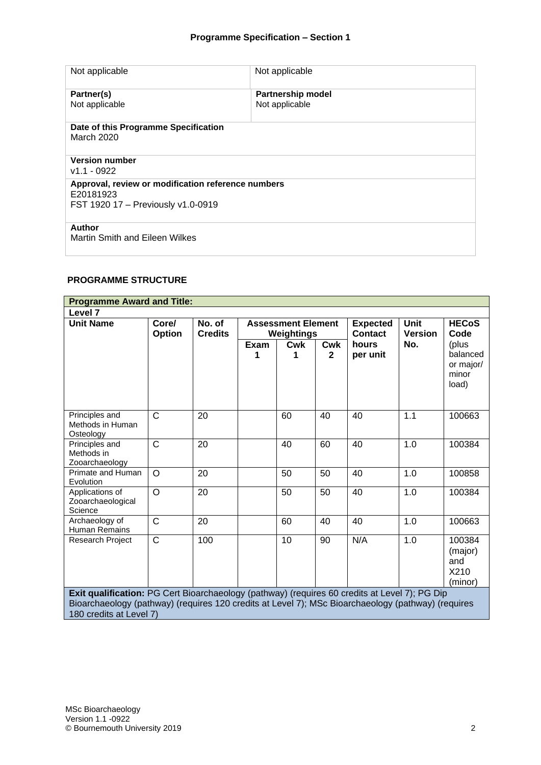| Not applicable                                                  | Not applicable                             |
|-----------------------------------------------------------------|--------------------------------------------|
| Partner(s)<br>Not applicable                                    | <b>Partnership model</b><br>Not applicable |
|                                                                 |                                            |
| Date of this Programme Specification                            |                                            |
| March 2020                                                      |                                            |
| <b>Version number</b><br>$v1.1 - 0922$                          |                                            |
| Approval, review or modification reference numbers<br>E20181923 |                                            |
| FST 1920 17 - Previously v1.0-0919                              |                                            |
|                                                                 |                                            |
| Author                                                          |                                            |
| Martin Smith and Eileen Wilkes                                  |                                            |

#### **PROGRAMME STRUCTURE**

| <b>Programme Award and Title:</b>                                                                                                                                                                                              |                 |                          |                                         |          |                            |                        |                      |                                                  |
|--------------------------------------------------------------------------------------------------------------------------------------------------------------------------------------------------------------------------------|-----------------|--------------------------|-----------------------------------------|----------|----------------------------|------------------------|----------------------|--------------------------------------------------|
| Level <sub>7</sub>                                                                                                                                                                                                             |                 |                          |                                         |          |                            |                        |                      |                                                  |
| <b>Unit Name</b>                                                                                                                                                                                                               | Core/<br>Option | No. of<br><b>Credits</b> | <b>Assessment Element</b><br>Weightings |          | <b>Expected</b><br>Contact | Unit<br><b>Version</b> | <b>HECoS</b><br>Code |                                                  |
|                                                                                                                                                                                                                                |                 |                          | Exam<br>1                               | Cwk<br>1 | <b>Cwk</b><br>$\mathbf{2}$ | hours<br>per unit      | No.                  | (plus<br>balanced<br>or major/<br>minor<br>load) |
| Principles and<br>Methods in Human<br>Osteology                                                                                                                                                                                | $\mathsf{C}$    | 20                       |                                         | 60       | 40                         | 40                     | 1.1                  | 100663                                           |
| Principles and<br>Methods in<br>Zooarchaeology                                                                                                                                                                                 | $\mathsf{C}$    | 20                       |                                         | 40       | 60                         | 40                     | 1.0                  | 100384                                           |
| Primate and Human<br>Evolution                                                                                                                                                                                                 | $\circ$         | 20                       |                                         | 50       | 50                         | 40                     | 1.0                  | 100858                                           |
| Applications of<br>Zooarchaeological<br>Science                                                                                                                                                                                | O               | 20                       |                                         | 50       | 50                         | 40                     | 1.0                  | 100384                                           |
| Archaeology of<br><b>Human Remains</b>                                                                                                                                                                                         | $\mathsf{C}$    | 20                       |                                         | 60       | 40                         | 40                     | 1.0                  | 100663                                           |
| <b>Research Project</b>                                                                                                                                                                                                        | $\mathsf{C}$    | 100                      |                                         | 10       | 90                         | N/A                    | 1.0                  | 100384<br>(major)<br>and<br>X210<br>(minor)      |
| Exit qualification: PG Cert Bioarchaeology (pathway) (requires 60 credits at Level 7); PG Dip<br>Bioarchaeology (pathway) (requires 120 credits at Level 7); MSc Bioarchaeology (pathway) (requires<br>180 credits at Level 7) |                 |                          |                                         |          |                            |                        |                      |                                                  |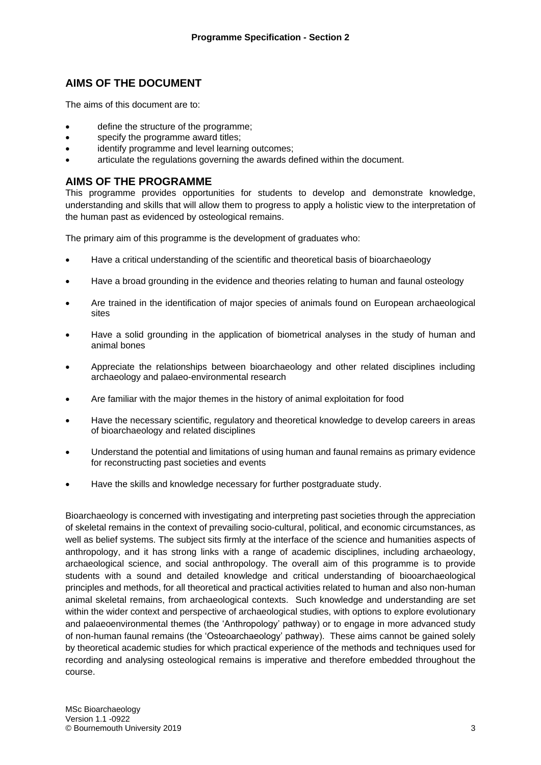### **AIMS OF THE DOCUMENT**

The aims of this document are to:

- define the structure of the programme;
- specify the programme award titles:
- identify programme and level learning outcomes;
- articulate the regulations governing the awards defined within the document.

### **AIMS OF THE PROGRAMME**

This programme provides opportunities for students to develop and demonstrate knowledge, understanding and skills that will allow them to progress to apply a holistic view to the interpretation of the human past as evidenced by osteological remains.

The primary aim of this programme is the development of graduates who:

- Have a critical understanding of the scientific and theoretical basis of bioarchaeology
- Have a broad grounding in the evidence and theories relating to human and faunal osteology
- Are trained in the identification of major species of animals found on European archaeological sites
- Have a solid grounding in the application of biometrical analyses in the study of human and animal bones
- Appreciate the relationships between bioarchaeology and other related disciplines including archaeology and palaeo-environmental research
- Are familiar with the major themes in the history of animal exploitation for food
- Have the necessary scientific, regulatory and theoretical knowledge to develop careers in areas of bioarchaeology and related disciplines
- Understand the potential and limitations of using human and faunal remains as primary evidence for reconstructing past societies and events
- Have the skills and knowledge necessary for further postgraduate study.

Bioarchaeology is concerned with investigating and interpreting past societies through the appreciation of skeletal remains in the context of prevailing socio-cultural, political, and economic circumstances, as well as belief systems. The subject sits firmly at the interface of the science and humanities aspects of anthropology, and it has strong links with a range of academic disciplines, including archaeology, archaeological science, and social anthropology. The overall aim of this programme is to provide students with a sound and detailed knowledge and critical understanding of biooarchaeological principles and methods, for all theoretical and practical activities related to human and also non-human animal skeletal remains, from archaeological contexts. Such knowledge and understanding are set within the wider context and perspective of archaeological studies, with options to explore evolutionary and palaeoenvironmental themes (the 'Anthropology' pathway) or to engage in more advanced study of non-human faunal remains (the 'Osteoarchaeology' pathway). These aims cannot be gained solely by theoretical academic studies for which practical experience of the methods and techniques used for recording and analysing osteological remains is imperative and therefore embedded throughout the course.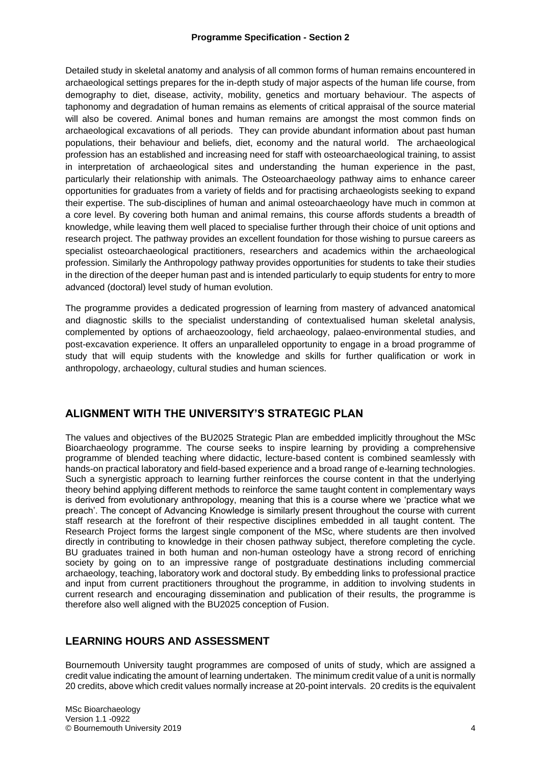Detailed study in skeletal anatomy and analysis of all common forms of human remains encountered in archaeological settings prepares for the in-depth study of major aspects of the human life course, from demography to diet, disease, activity, mobility, genetics and mortuary behaviour. The aspects of taphonomy and degradation of human remains as elements of critical appraisal of the source material will also be covered. Animal bones and human remains are amongst the most common finds on archaeological excavations of all periods. They can provide abundant information about past human populations, their behaviour and beliefs, diet, economy and the natural world. The archaeological profession has an established and increasing need for staff with osteoarchaeological training, to assist in interpretation of archaeological sites and understanding the human experience in the past, particularly their relationship with animals. The Osteoarchaeology pathway aims to enhance career opportunities for graduates from a variety of fields and for practising archaeologists seeking to expand their expertise. The sub-disciplines of human and animal osteoarchaeology have much in common at a core level. By covering both human and animal remains, this course affords students a breadth of knowledge, while leaving them well placed to specialise further through their choice of unit options and research project. The pathway provides an excellent foundation for those wishing to pursue careers as specialist osteoarchaeological practitioners, researchers and academics within the archaeological profession. Similarly the Anthropology pathway provides opportunities for students to take their studies in the direction of the deeper human past and is intended particularly to equip students for entry to more advanced (doctoral) level study of human evolution.

The programme provides a dedicated progression of learning from mastery of advanced anatomical and diagnostic skills to the specialist understanding of contextualised human skeletal analysis, complemented by options of archaeozoology, field archaeology, palaeo-environmental studies, and post-excavation experience. It offers an unparalleled opportunity to engage in a broad programme of study that will equip students with the knowledge and skills for further qualification or work in anthropology, archaeology, cultural studies and human sciences.

### **ALIGNMENT WITH THE UNIVERSITY'S STRATEGIC PLAN**

The values and objectives of the BU2025 Strategic Plan are embedded implicitly throughout the MSc Bioarchaeology programme. The course seeks to inspire learning by providing a comprehensive programme of blended teaching where didactic, lecture-based content is combined seamlessly with hands-on practical laboratory and field-based experience and a broad range of e-learning technologies. Such a synergistic approach to learning further reinforces the course content in that the underlying theory behind applying different methods to reinforce the same taught content in complementary ways is derived from evolutionary anthropology, meaning that this is a course where we 'practice what we preach'. The concept of Advancing Knowledge is similarly present throughout the course with current staff research at the forefront of their respective disciplines embedded in all taught content. The Research Project forms the largest single component of the MSc, where students are then involved directly in contributing to knowledge in their chosen pathway subject, therefore completing the cycle. BU graduates trained in both human and non-human osteology have a strong record of enriching society by going on to an impressive range of postgraduate destinations including commercial archaeology, teaching, laboratory work and doctoral study. By embedding links to professional practice and input from current practitioners throughout the programme, in addition to involving students in current research and encouraging dissemination and publication of their results, the programme is therefore also well aligned with the BU2025 conception of Fusion.

### **LEARNING HOURS AND ASSESSMENT**

Bournemouth University taught programmes are composed of units of study, which are assigned a credit value indicating the amount of learning undertaken. The minimum credit value of a unit is normally 20 credits, above which credit values normally increase at 20-point intervals. 20 credits is the equivalent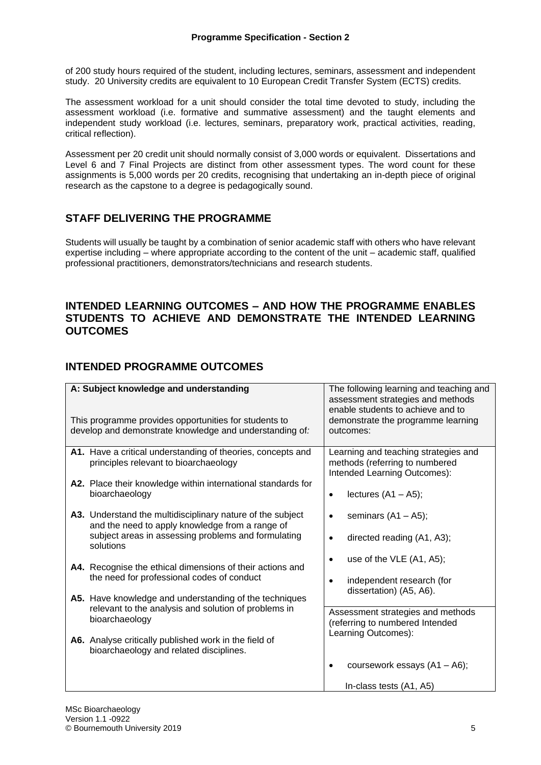of 200 study hours required of the student, including lectures, seminars, assessment and independent study. 20 University credits are equivalent to 10 European Credit Transfer System (ECTS) credits.

The assessment workload for a unit should consider the total time devoted to study, including the assessment workload (i.e. formative and summative assessment) and the taught elements and independent study workload (i.e. lectures, seminars, preparatory work, practical activities, reading, critical reflection).

Assessment per 20 credit unit should normally consist of 3,000 words or equivalent. Dissertations and Level 6 and 7 Final Projects are distinct from other assessment types. The word count for these assignments is 5,000 words per 20 credits, recognising that undertaking an in-depth piece of original research as the capstone to a degree is pedagogically sound.

## **STAFF DELIVERING THE PROGRAMME**

Students will usually be taught by a combination of senior academic staff with others who have relevant expertise including – where appropriate according to the content of the unit – academic staff, qualified professional practitioners, demonstrators/technicians and research students.

### **INTENDED LEARNING OUTCOMES – AND HOW THE PROGRAMME ENABLES STUDENTS TO ACHIEVE AND DEMONSTRATE THE INTENDED LEARNING OUTCOMES**

## **INTENDED PROGRAMME OUTCOMES**

| A: Subject knowledge and understanding<br>This programme provides opportunities for students to                                                                                   | The following learning and teaching and<br>assessment strategies and methods<br>enable students to achieve and to<br>demonstrate the programme learning |
|-----------------------------------------------------------------------------------------------------------------------------------------------------------------------------------|---------------------------------------------------------------------------------------------------------------------------------------------------------|
| develop and demonstrate knowledge and understanding of:                                                                                                                           | outcomes:                                                                                                                                               |
| A1. Have a critical understanding of theories, concepts and<br>principles relevant to bioarchaeology                                                                              | Learning and teaching strategies and<br>methods (referring to numbered<br>Intended Learning Outcomes):                                                  |
| A2. Place their knowledge within international standards for<br>bioarchaeology                                                                                                    | lectures $(A1 - A5)$ ;<br>$\bullet$                                                                                                                     |
| A3. Understand the multidisciplinary nature of the subject<br>and the need to apply knowledge from a range of<br>subject areas in assessing problems and formulating<br>solutions | seminars $(A1 - A5)$ ;<br>$\bullet$<br>directed reading (A1, A3);<br>$\bullet$                                                                          |
| A4. Recognise the ethical dimensions of their actions and<br>the need for professional codes of conduct                                                                           | use of the VLE (A1, A5);<br>independent research (for<br>dissertation) (A5, A6).                                                                        |
| A5. Have knowledge and understanding of the techniques<br>relevant to the analysis and solution of problems in<br>bioarchaeology                                                  | Assessment strategies and methods<br>(referring to numbered Intended<br>Learning Outcomes):                                                             |
| A6. Analyse critically published work in the field of<br>bioarchaeology and related disciplines.                                                                                  |                                                                                                                                                         |
|                                                                                                                                                                                   | coursework essays (A1 - A6);                                                                                                                            |
|                                                                                                                                                                                   | In-class tests (A1, A5)                                                                                                                                 |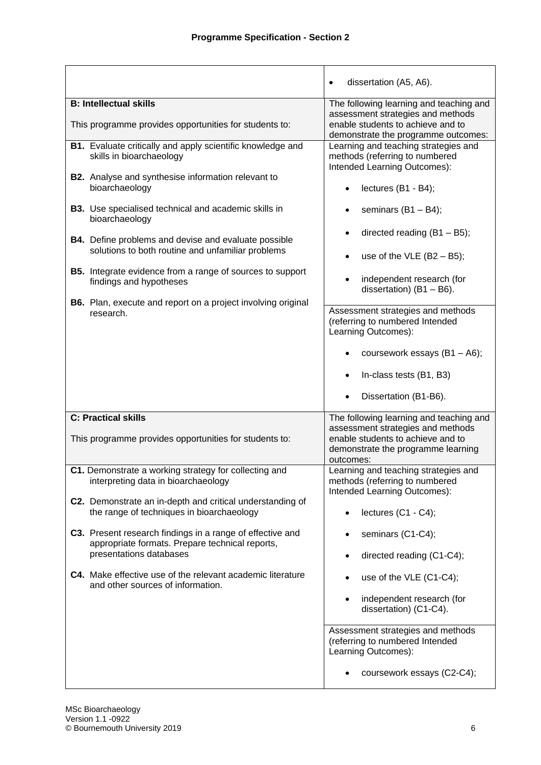|                                                                                                                  | dissertation (A5, A6).<br>$\bullet$                                                                                                                                  |
|------------------------------------------------------------------------------------------------------------------|----------------------------------------------------------------------------------------------------------------------------------------------------------------------|
| <b>B: Intellectual skills</b><br>This programme provides opportunities for students to:                          | The following learning and teaching and<br>assessment strategies and methods<br>enable students to achieve and to                                                    |
| B1. Evaluate critically and apply scientific knowledge and<br>skills in bioarchaeology                           | demonstrate the programme outcomes:<br>Learning and teaching strategies and<br>methods (referring to numbered<br>Intended Learning Outcomes):                        |
| <b>B2.</b> Analyse and synthesise information relevant to<br>bioarchaeology                                      | lectures (B1 - B4);                                                                                                                                                  |
| B3. Use specialised technical and academic skills in<br>bioarchaeology                                           | seminars $(B1 - B4)$ ;                                                                                                                                               |
| <b>B4.</b> Define problems and devise and evaluate possible<br>solutions to both routine and unfamiliar problems | directed reading $(B1 - B5)$ ;<br>use of the VLE $(B2 - B5)$ ;<br>$\bullet$                                                                                          |
| <b>B5.</b> Integrate evidence from a range of sources to support<br>findings and hypotheses                      | independent research (for<br>dissertation) $(B1 - B6)$ .                                                                                                             |
| <b>B6.</b> Plan, execute and report on a project involving original<br>research.                                 | Assessment strategies and methods<br>(referring to numbered Intended<br>Learning Outcomes):                                                                          |
|                                                                                                                  | coursework essays (B1 - A6);                                                                                                                                         |
|                                                                                                                  | In-class tests (B1, B3)                                                                                                                                              |
|                                                                                                                  | Dissertation (B1-B6).                                                                                                                                                |
| <b>C: Practical skills</b><br>This programme provides opportunities for students to:                             | The following learning and teaching and<br>assessment strategies and methods<br>enable students to achieve and to<br>demonstrate the programme learning<br>outcomes: |
| C1. Demonstrate a working strategy for collecting and<br>interpreting data in bioarchaeology                     | Learning and teaching strategies and<br>methods (referring to numbered<br>Intended Learning Outcomes):                                                               |
| C2. Demonstrate an in-depth and critical understanding of<br>the range of techniques in bioarchaeology           | lectures (C1 - C4);                                                                                                                                                  |
| C3. Present research findings in a range of effective and<br>appropriate formats. Prepare technical reports,     | seminars (C1-C4);                                                                                                                                                    |
| presentations databases<br>C4. Make effective use of the relevant academic literature                            | directed reading (C1-C4);<br>$\bullet$<br>use of the VLE (C1-C4);                                                                                                    |
| and other sources of information.                                                                                | independent research (for<br>$\bullet$<br>dissertation) (C1-C4).                                                                                                     |
|                                                                                                                  | Assessment strategies and methods<br>(referring to numbered Intended<br>Learning Outcomes):                                                                          |
|                                                                                                                  | coursework essays (C2-C4);                                                                                                                                           |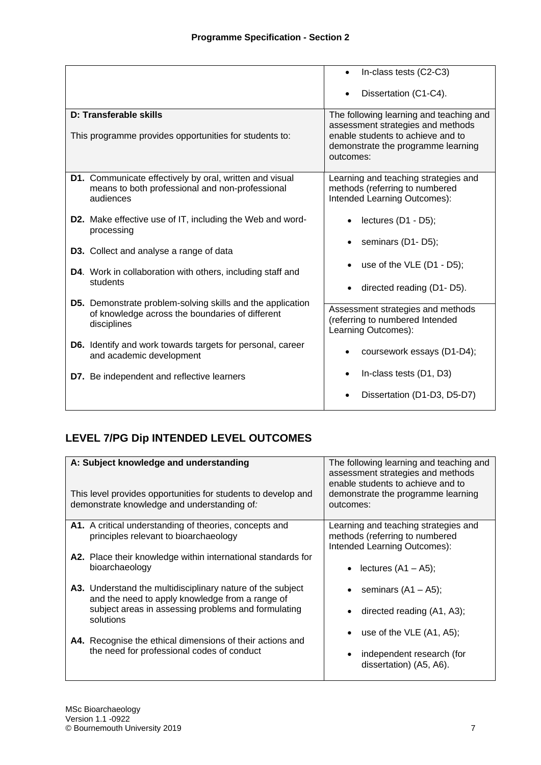|                                                                                                                                     | In-class tests (C2-C3)                                                                                                    |
|-------------------------------------------------------------------------------------------------------------------------------------|---------------------------------------------------------------------------------------------------------------------------|
|                                                                                                                                     | Dissertation (C1-C4).                                                                                                     |
| D: Transferable skills                                                                                                              | The following learning and teaching and                                                                                   |
| This programme provides opportunities for students to:                                                                              | assessment strategies and methods<br>enable students to achieve and to<br>demonstrate the programme learning<br>outcomes: |
| D1. Communicate effectively by oral, written and visual<br>means to both professional and non-professional<br>audiences             | Learning and teaching strategies and<br>methods (referring to numbered<br>Intended Learning Outcomes):                    |
| <b>D2.</b> Make effective use of IT, including the Web and word-<br>processing                                                      | lectures (D1 - D5);                                                                                                       |
| D3. Collect and analyse a range of data                                                                                             | seminars (D1-D5);                                                                                                         |
| D4. Work in collaboration with others, including staff and<br>students                                                              | use of the $VLE$ (D1 - D5);                                                                                               |
|                                                                                                                                     | directed reading (D1-D5).<br>$\bullet$                                                                                    |
| <b>D5.</b> Demonstrate problem-solving skills and the application<br>of knowledge across the boundaries of different<br>disciplines | Assessment strategies and methods<br>(referring to numbered Intended<br>Learning Outcomes):                               |
| <b>D6.</b> Identify and work towards targets for personal, career<br>and academic development                                       | coursework essays (D1-D4);                                                                                                |
| D7. Be independent and reflective learners                                                                                          | In-class tests (D1, D3)                                                                                                   |
|                                                                                                                                     | Dissertation (D1-D3, D5-D7)                                                                                               |

# **LEVEL 7/PG Dip INTENDED LEVEL OUTCOMES**

| A: Subject knowledge and understanding<br>This level provides opportunities for students to develop and<br>demonstrate knowledge and understanding of: | The following learning and teaching and<br>assessment strategies and methods<br>enable students to achieve and to<br>demonstrate the programme learning<br>outcomes: |  |
|--------------------------------------------------------------------------------------------------------------------------------------------------------|----------------------------------------------------------------------------------------------------------------------------------------------------------------------|--|
| <b>A1.</b> A critical understanding of theories, concepts and                                                                                          | Learning and teaching strategies and                                                                                                                                 |  |
| principles relevant to bioarchaeology                                                                                                                  | methods (referring to numbered                                                                                                                                       |  |
| A2. Place their knowledge within international standards for                                                                                           | Intended Learning Outcomes):                                                                                                                                         |  |
| bioarchaeology                                                                                                                                         | • lectures $(A1 - A5)$ ;                                                                                                                                             |  |
| A3. Understand the multidisciplinary nature of the subject                                                                                             | seminars (A1 – A5);                                                                                                                                                  |  |
| and the need to apply knowledge from a range of                                                                                                        | directed reading (A1, A3);                                                                                                                                           |  |
| subject areas in assessing problems and formulating                                                                                                    | ٠                                                                                                                                                                    |  |
| solutions                                                                                                                                              | use of the $VLE(A1, A5);$                                                                                                                                            |  |
| A4. Recognise the ethical dimensions of their actions and                                                                                              | $\bullet$                                                                                                                                                            |  |
| the need for professional codes of conduct                                                                                                             | independent research (for                                                                                                                                            |  |
|                                                                                                                                                        | dissertation) (A5, A6).                                                                                                                                              |  |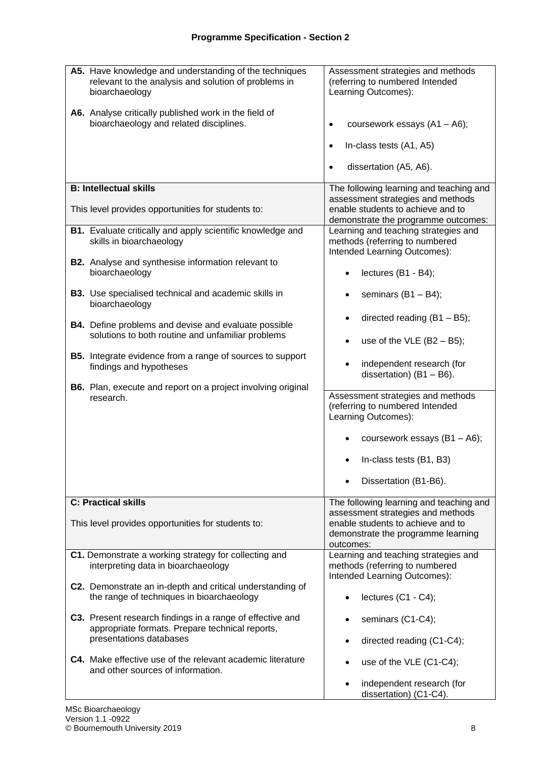| A5. Have knowledge and understanding of the techniques<br>relevant to the analysis and solution of problems in<br>bioarchaeology | Assessment strategies and methods<br>(referring to numbered Intended<br>Learning Outcomes):                   |  |  |
|----------------------------------------------------------------------------------------------------------------------------------|---------------------------------------------------------------------------------------------------------------|--|--|
| A6. Analyse critically published work in the field of<br>bioarchaeology and related disciplines.                                 | coursework essays $(A1 - A6)$ ;<br>$\bullet$                                                                  |  |  |
|                                                                                                                                  | In-class tests (A1, A5)<br>$\bullet$                                                                          |  |  |
|                                                                                                                                  | dissertation (A5, A6).                                                                                        |  |  |
| <b>B: Intellectual skills</b>                                                                                                    | The following learning and teaching and                                                                       |  |  |
| This level provides opportunities for students to:                                                                               | assessment strategies and methods<br>enable students to achieve and to<br>demonstrate the programme outcomes: |  |  |
| <b>B1.</b> Evaluate critically and apply scientific knowledge and<br>skills in bioarchaeology                                    | Learning and teaching strategies and<br>methods (referring to numbered<br>Intended Learning Outcomes):        |  |  |
| <b>B2.</b> Analyse and synthesise information relevant to<br>bioarchaeology                                                      | lectures (B1 - B4);                                                                                           |  |  |
| <b>B3.</b> Use specialised technical and academic skills in<br>bioarchaeology                                                    | seminars $(B1 - B4)$ ;                                                                                        |  |  |
| <b>B4.</b> Define problems and devise and evaluate possible                                                                      | directed reading $(B1 - B5)$ ;                                                                                |  |  |
| solutions to both routine and unfamiliar problems                                                                                | use of the VLE $(B2 - B5)$ ;                                                                                  |  |  |
| <b>B5.</b> Integrate evidence from a range of sources to support<br>findings and hypotheses                                      | independent research (for<br>dissertation) $(B1 - B6)$ .                                                      |  |  |
| <b>B6.</b> Plan, execute and report on a project involving original<br>research.                                                 | Assessment strategies and methods<br>(referring to numbered Intended<br>Learning Outcomes):                   |  |  |
|                                                                                                                                  | coursework essays (B1 - A6);                                                                                  |  |  |
|                                                                                                                                  | In-class tests (B1, B3)                                                                                       |  |  |
|                                                                                                                                  | Dissertation (B1-B6).                                                                                         |  |  |
| <b>C: Practical skills</b>                                                                                                       | The following learning and teaching and                                                                       |  |  |
| This level provides opportunities for students to:                                                                               | assessment strategies and methods<br>enable students to achieve and to<br>demonstrate the programme learning  |  |  |
|                                                                                                                                  | outcomes:                                                                                                     |  |  |
| C1. Demonstrate a working strategy for collecting and<br>interpreting data in bioarchaeology                                     | Learning and teaching strategies and<br>methods (referring to numbered<br>Intended Learning Outcomes):        |  |  |
| C2. Demonstrate an in-depth and critical understanding of<br>the range of techniques in bioarchaeology                           | lectures (C1 - C4);                                                                                           |  |  |
| C3. Present research findings in a range of effective and<br>appropriate formats. Prepare technical reports,                     | seminars (C1-C4);                                                                                             |  |  |
| presentations databases                                                                                                          | directed reading (C1-C4);                                                                                     |  |  |
| C4. Make effective use of the relevant academic literature<br>and other sources of information.                                  | use of the VLE (C1-C4);                                                                                       |  |  |
|                                                                                                                                  | independent research (for<br>$\bullet$<br>dissertation) (C1-C4).                                              |  |  |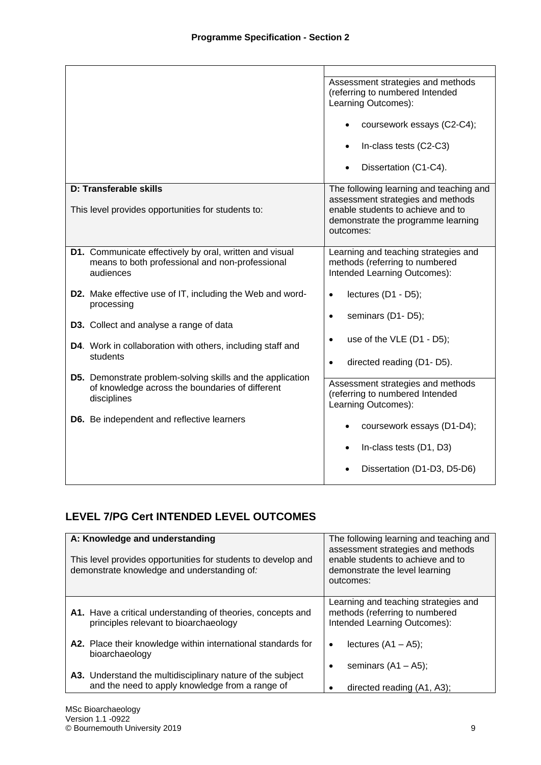|                                                                                | Assessment strategies and methods<br>(referring to numbered Intended<br>Learning Outcomes): |  |
|--------------------------------------------------------------------------------|---------------------------------------------------------------------------------------------|--|
|                                                                                | coursework essays (C2-C4);                                                                  |  |
|                                                                                | In-class tests (C2-C3)                                                                      |  |
|                                                                                | Dissertation (C1-C4).                                                                       |  |
| D: Transferable skills                                                         | The following learning and teaching and                                                     |  |
|                                                                                | assessment strategies and methods                                                           |  |
| This level provides opportunities for students to:                             | enable students to achieve and to                                                           |  |
|                                                                                | demonstrate the programme learning<br>outcomes:                                             |  |
|                                                                                |                                                                                             |  |
| D1. Communicate effectively by oral, written and visual                        | Learning and teaching strategies and                                                        |  |
| means to both professional and non-professional                                | methods (referring to numbered                                                              |  |
| audiences                                                                      | Intended Learning Outcomes):                                                                |  |
| <b>D2.</b> Make effective use of IT, including the Web and word-<br>processing | lectures (D1 - D5);<br>$\bullet$                                                            |  |
|                                                                                | seminars (D1-D5);<br>$\bullet$                                                              |  |
| <b>D3.</b> Collect and analyse a range of data                                 |                                                                                             |  |
| D4. Work in collaboration with others, including staff and<br>students         | use of the VLE (D1 - D5);<br>$\bullet$                                                      |  |
|                                                                                | directed reading (D1-D5).<br>$\bullet$                                                      |  |
| <b>D5.</b> Demonstrate problem-solving skills and the application              | Assessment strategies and methods                                                           |  |
| of knowledge across the boundaries of different                                | (referring to numbered Intended                                                             |  |
| disciplines                                                                    | Learning Outcomes):                                                                         |  |
| <b>D6.</b> Be independent and reflective learners                              | coursework essays (D1-D4);                                                                  |  |
|                                                                                | In-class tests (D1, D3)                                                                     |  |
|                                                                                | Dissertation (D1-D3, D5-D6)                                                                 |  |

# **LEVEL 7/PG Cert INTENDED LEVEL OUTCOMES**

| A: Knowledge and understanding<br>This level provides opportunities for students to develop and<br>demonstrate knowledge and understanding of: | The following learning and teaching and<br>assessment strategies and methods<br>enable students to achieve and to<br>demonstrate the level learning<br>outcomes: |
|------------------------------------------------------------------------------------------------------------------------------------------------|------------------------------------------------------------------------------------------------------------------------------------------------------------------|
| A1. Have a critical understanding of theories, concepts and<br>principles relevant to bioarchaeology                                           | Learning and teaching strategies and<br>methods (referring to numbered<br>Intended Learning Outcomes):                                                           |
| A2. Place their knowledge within international standards for                                                                                   | lectures $(A1 - A5)$ ;                                                                                                                                           |
| bioarchaeology                                                                                                                                 | ٠                                                                                                                                                                |
| A3. Understand the multidisciplinary nature of the subject                                                                                     | seminars $(A1 - A5)$ ;                                                                                                                                           |
| and the need to apply knowledge from a range of                                                                                                | directed reading (A1, A3);                                                                                                                                       |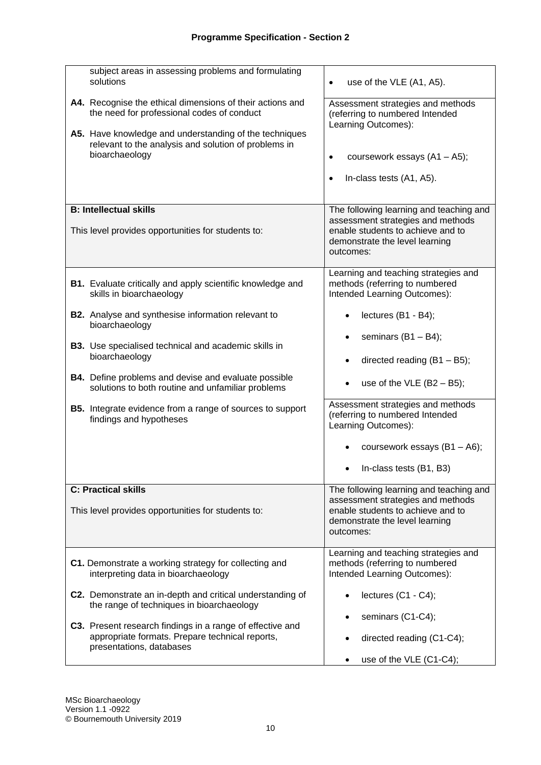| subject areas in assessing problems and formulating<br>solutions                                                                         | use of the VLE (A1, A5).<br>٠                                                                                                                                    |
|------------------------------------------------------------------------------------------------------------------------------------------|------------------------------------------------------------------------------------------------------------------------------------------------------------------|
| A4. Recognise the ethical dimensions of their actions and<br>the need for professional codes of conduct                                  | Assessment strategies and methods<br>(referring to numbered Intended<br>Learning Outcomes):                                                                      |
| A5. Have knowledge and understanding of the techniques<br>relevant to the analysis and solution of problems in<br>bioarchaeology         | coursework essays (A1 - A5);<br>$\bullet$<br>In-class tests (A1, A5).<br>$\bullet$                                                                               |
| <b>B: Intellectual skills</b><br>This level provides opportunities for students to:                                                      | The following learning and teaching and<br>assessment strategies and methods<br>enable students to achieve and to<br>demonstrate the level learning<br>outcomes: |
| <b>B1.</b> Evaluate critically and apply scientific knowledge and<br>skills in bioarchaeology                                            | Learning and teaching strategies and<br>methods (referring to numbered<br>Intended Learning Outcomes):                                                           |
| <b>B2.</b> Analyse and synthesise information relevant to<br>bioarchaeology                                                              | lectures (B1 - B4);                                                                                                                                              |
| <b>B3.</b> Use specialised technical and academic skills in<br>bioarchaeology                                                            | seminars $(B1 - B4)$ ;<br>directed reading $(B1 - B5)$ ;                                                                                                         |
| <b>B4.</b> Define problems and devise and evaluate possible<br>solutions to both routine and unfamiliar problems                         | use of the VLE $(B2 - B5)$ ;<br>$\bullet$                                                                                                                        |
| <b>B5.</b> Integrate evidence from a range of sources to support<br>findings and hypotheses                                              | Assessment strategies and methods<br>(referring to numbered Intended<br>Learning Outcomes):                                                                      |
|                                                                                                                                          | coursework essays (B1 - A6);                                                                                                                                     |
|                                                                                                                                          | In-class tests (B1, B3)                                                                                                                                          |
| <b>C: Practical skills</b><br>This level provides opportunities for students to:                                                         | The following learning and teaching and<br>assessment strategies and methods<br>enable students to achieve and to<br>demonstrate the level learning<br>outcomes: |
| C1. Demonstrate a working strategy for collecting and<br>interpreting data in bioarchaeology                                             | Learning and teaching strategies and<br>methods (referring to numbered<br>Intended Learning Outcomes):                                                           |
| C2. Demonstrate an in-depth and critical understanding of<br>the range of techniques in bioarchaeology                                   | lectures (C1 - C4);                                                                                                                                              |
| C3. Present research findings in a range of effective and<br>appropriate formats. Prepare technical reports,<br>presentations, databases | seminars (C1-C4);<br>directed reading (C1-C4);                                                                                                                   |
|                                                                                                                                          | use of the VLE (C1-C4);<br>$\bullet$                                                                                                                             |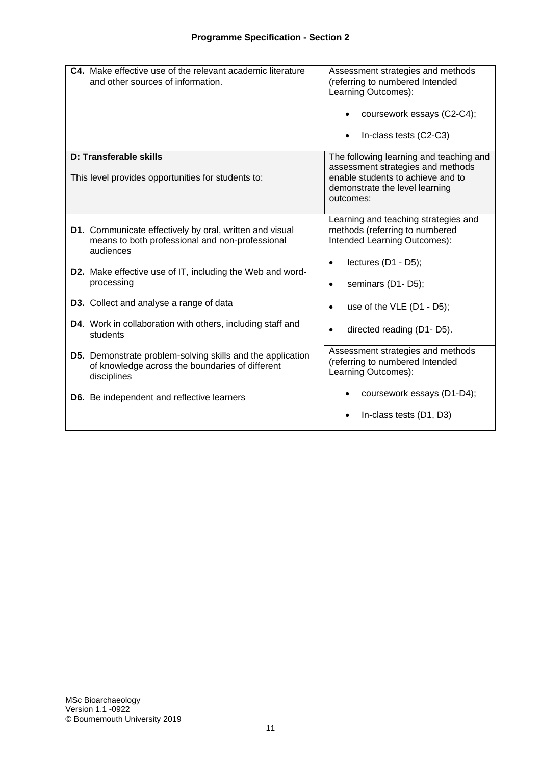| C4. Make effective use of the relevant academic literature<br>and other sources of information.                                                                                             | Assessment strategies and methods<br>(referring to numbered Intended<br>Learning Outcomes):<br>coursework essays (C2-C4);<br>In-class tests (C2-C3)              |
|---------------------------------------------------------------------------------------------------------------------------------------------------------------------------------------------|------------------------------------------------------------------------------------------------------------------------------------------------------------------|
| D: Transferable skills<br>This level provides opportunities for students to:                                                                                                                | The following learning and teaching and<br>assessment strategies and methods<br>enable students to achieve and to<br>demonstrate the level learning<br>outcomes: |
| D1. Communicate effectively by oral, written and visual<br>means to both professional and non-professional<br>audiences<br><b>D2.</b> Make effective use of IT, including the Web and word- | Learning and teaching strategies and<br>methods (referring to numbered<br>Intended Learning Outcomes):<br>lectures (D1 - D5);<br>$\bullet$                       |
| processing<br>D3. Collect and analyse a range of data                                                                                                                                       | seminars (D1-D5);<br>$\bullet$<br>use of the $VLE$ (D1 - D5);<br>$\bullet$                                                                                       |
| D4. Work in collaboration with others, including staff and<br>students                                                                                                                      | directed reading (D1-D5).<br>$\bullet$                                                                                                                           |
| <b>D5.</b> Demonstrate problem-solving skills and the application<br>of knowledge across the boundaries of different<br>disciplines                                                         | Assessment strategies and methods<br>(referring to numbered Intended<br>Learning Outcomes):                                                                      |
| <b>D6.</b> Be independent and reflective learners                                                                                                                                           | coursework essays (D1-D4);<br>In-class tests (D1, D3)                                                                                                            |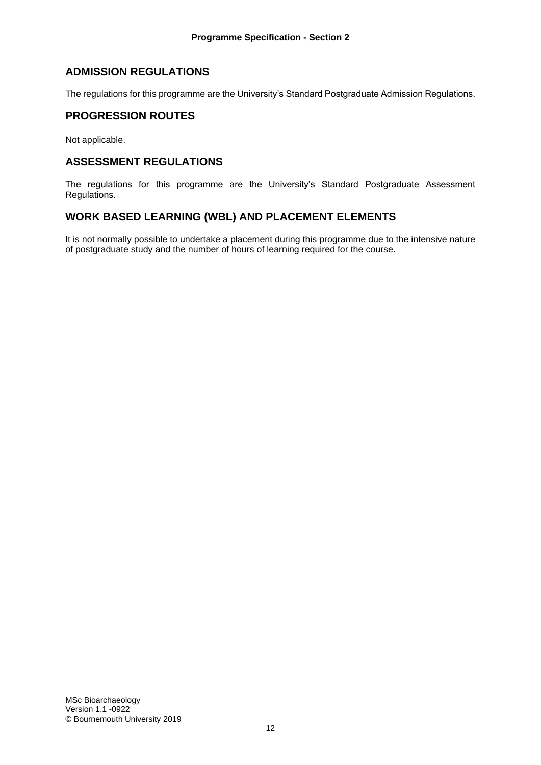### **ADMISSION REGULATIONS**

The regulations for this programme are the University's Standard Postgraduate Admission Regulations.

### **PROGRESSION ROUTES**

Not applicable.

### **ASSESSMENT REGULATIONS**

The regulations for this programme are the University's Standard Postgraduate Assessment Regulations.

### **WORK BASED LEARNING (WBL) AND PLACEMENT ELEMENTS**

It is not normally possible to undertake a placement during this programme due to the intensive nature of postgraduate study and the number of hours of learning required for the course.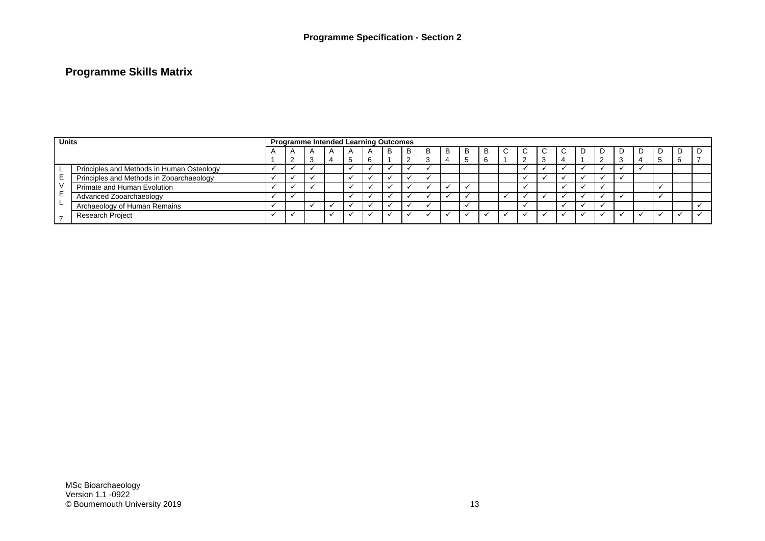## **Programme Skills Matrix**

| <b>Units</b> |                                           | <b>Programme Intended Learning Outcomes</b> |  |   |  |  |  |   |  |  |    |              |   |  |  |  |    |   |  |  |   |  |
|--------------|-------------------------------------------|---------------------------------------------|--|---|--|--|--|---|--|--|----|--------------|---|--|--|--|----|---|--|--|---|--|
|              |                                           |                                             |  |   |  |  |  | B |  |  | B. | <sub>B</sub> | B |  |  |  | C. | D |  |  | D |  |
|              |                                           |                                             |  | З |  |  |  |   |  |  |    |              | 6 |  |  |  |    |   |  |  | O |  |
|              | Principles and Methods in Human Osteology |                                             |  |   |  |  |  |   |  |  |    |              |   |  |  |  |    |   |  |  |   |  |
|              | Principles and Methods in Zooarchaeology  |                                             |  |   |  |  |  |   |  |  |    |              |   |  |  |  |    |   |  |  |   |  |
|              | Primate and Human Evolution               |                                             |  |   |  |  |  |   |  |  |    |              |   |  |  |  |    |   |  |  |   |  |
|              | Advanced Zooarchaeology                   |                                             |  |   |  |  |  |   |  |  |    |              |   |  |  |  |    |   |  |  |   |  |
|              | Archaeology of Human Remains              |                                             |  |   |  |  |  |   |  |  |    |              |   |  |  |  |    |   |  |  |   |  |
|              | <b>Research Project</b>                   |                                             |  |   |  |  |  |   |  |  |    |              |   |  |  |  |    |   |  |  |   |  |